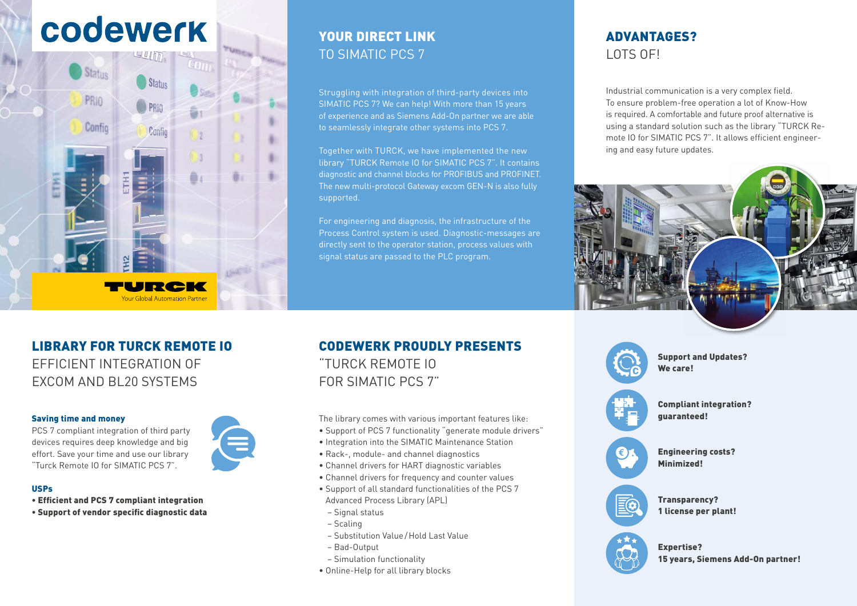# codewerk



## YOUR DIRECT LINK TO SIMATIC PCS 7

Struggling with integration of third-party devices into SIMATIC PCS 7? We can help! With more than 15 years of experience and as Siemens Add-On partner we are able to seamlessly integrate other systems into PCS 7.

Together with TURCK, we have implemented the new library "TURCK Remote IO for SIMATIC PCS 7". It contains diagnostic and channel blocks for PROFIBUS and PROFINET. The new multi-protocol Gateway excom GEN-N is also fully supported.

For engineering and diagnosis, the infrastructure of the Process Control system is used. Diagnostic-messages are directly sent to the operator station, process values with signal status are passed to the PLC program.

## ADVANTAGES? LOTS OF!

Industrial communication is a very complex field. To ensure problem-free operation a lot of Know-How is required. A comfortable and future proof alternative is using a standard solution such as the library "TURCK Remote IO for SIMATIC PCS 7". It allows efficient engineering and easy future updates.



### LIBRARY FOR TURCK REMOTE IO EFFICIENT INTEGRATION OF

EXCOM AND BL20 SYSTEMS

#### Saving time and money

PCS 7 compliant integration of third party devices requires deep knowledge and big effort. Save your time and use our library "Turck Remote IO for SIMATIC PCS 7".

#### USPs

- Efficient and PCS 7 compliant integration
- Support of vendor specific diagnostic data

## CODEWERK PROUDLY PRESENTS "TURCK REMOTE IO FOR SIMATIC PCS 7"

The library comes with various important features like:

- Support of PCS 7 functionality "generate module drivers"
- Integration into the SIMATIC Maintenance Station
- Rack-, module- and channel diagnostics
- Channel drivers for HART diagnostic variables
- Channel drivers for frequency and counter values
- Support of all standard functionalities of the PCS 7 Advanced Process Library (APL)
- Signal status
- Scaling
- Substitution Value/Hold Last Value
- Bad-Output
- Simulation functionality
- Online-Help for all library blocks





Expertise? 15 years, Siemens Add-On partner!